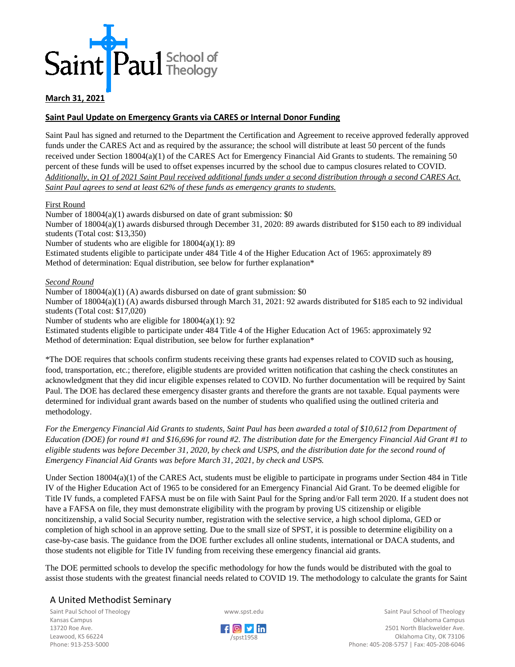

## **March 31, 2021**

### **Saint Paul Update on Emergency Grants via CARES or Internal Donor Funding**

Saint Paul has signed and returned to the Department the Certification and Agreement to receive approved federally approved funds under the CARES Act and as required by the assurance; the school will distribute at least 50 percent of the funds received under Section 18004(a)(1) of the CARES Act for Emergency Financial Aid Grants to students. The remaining 50 percent of these funds will be used to offset expenses incurred by the school due to campus closures related to COVID. *Additionally, in Q1 of 2021 Saint Paul received additional funds under a second distribution through a second CARES Act. Saint Paul agrees to send at least 62% of these funds as emergency grants to students.*

#### First Round

Number of 18004(a)(1) awards disbursed on date of grant submission: \$0 Number of 18004(a)(1) awards disbursed through December 31, 2020: 89 awards distributed for \$150 each to 89 individual students (Total cost: \$13,350) Number of students who are eligible for 18004(a)(1): 89 Estimated students eligible to participate under 484 Title 4 of the Higher Education Act of 1965: approximately 89 Method of determination: Equal distribution, see below for further explanation\*

#### *Second Round*

Number of 18004(a)(1) (A) awards disbursed on date of grant submission: \$0 Number of 18004(a)(1) (A) awards disbursed through March 31, 2021: 92 awards distributed for \$185 each to 92 individual students (Total cost: \$17,020)

Number of students who are eligible for 18004(a)(1): 92

Estimated students eligible to participate under 484 Title 4 of the Higher Education Act of 1965: approximately 92 Method of determination: Equal distribution, see below for further explanation\*

\*The DOE requires that schools confirm students receiving these grants had expenses related to COVID such as housing, food, transportation, etc.; therefore, eligible students are provided written notification that cashing the check constitutes an acknowledgment that they did incur eligible expenses related to COVID. No further documentation will be required by Saint Paul. The DOE has declared these emergency disaster grants and therefore the grants are not taxable. Equal payments were determined for individual grant awards based on the number of students who qualified using the outlined criteria and methodology.

*For the Emergency Financial Aid Grants to students, Saint Paul has been awarded a total of \$10,612 from Department of Education (DOE) for round #1 and \$16,696 for round #2. The distribution date for the Emergency Financial Aid Grant #1 to eligible students was before December 31, 2020, by check and USPS, and the distribution date for the second round of Emergency Financial Aid Grants was before March 31, 2021, by check and USPS.* 

Under Section 18004(a)(1) of the CARES Act, students must be eligible to participate in programs under Section 484 in Title IV of the Higher Education Act of 1965 to be considered for an Emergency Financial Aid Grant. To be deemed eligible for Title IV funds, a completed FAFSA must be on file with Saint Paul for the Spring and/or Fall term 2020. If a student does not have a FAFSA on file, they must demonstrate eligibility with the program by proving US citizenship or eligible noncitizenship, a valid Social Security number, registration with the selective service, a high school diploma, GED or completion of high school in an approve setting. Due to the small size of SPST, it is possible to determine eligibility on a case-by-case basis. The guidance from the DOE further excludes all online students, international or DACA students, and those students not eligible for Title IV funding from receiving these emergency financial aid grants.

The DOE permitted schools to develop the specific methodology for how the funds would be distributed with the goal to assist those students with the greatest financial needs related to COVID 19. The methodology to calculate the grants for Saint

# A United Methodist Seminary

Saint Paul School of Theology Kansas Campus 13720 Roe Ave. Leawood, KS 66224 Phone: 913-253-5000





Saint Paul School of Theology Oklahoma Campus 2501 North Blackwelder Ave. Oklahoma City, OK 73106 Phone: 405-208-5757 | Fax: 405-208-6046